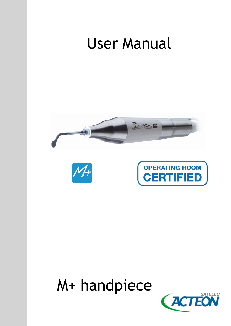# User Manual







# M+ handpiece

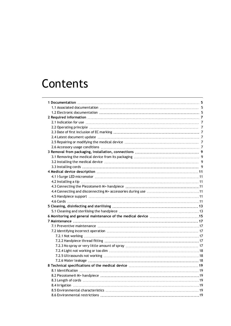## Contents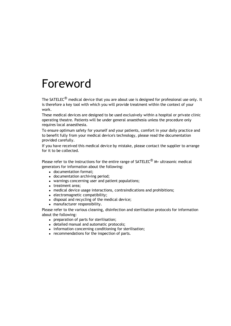## <span id="page-4-0"></span>Foreword

The SATELEC<sup>®</sup> medical device that you are about use is designed for professional use only. It is therefore a key tool with which you will provide treatment within the context of your work.

These medical devices are designed to be used exclusively within a hospital or private clinic operating theatre. Patients will be under general anaesthesia unless the procedure only requires local anaesthesia.

To ensure optimum safety for yourself and your patients, comfort in your daily practice and to benefit fully from your medical device's technology, please read the documentation provided carefully.

If you have received this medical device by mistake, please contact the supplier to arrange for it to be collected.

Please refer to the instructions for the entire range of SATELEC<sup>®</sup>  $M+$  ultrasonic medical generators for information about the following:

- documentation format;
- documentation archiving period;
- warnings concerning user and patient populations;
- treatment area;
- medical device usage interactions, contraindications and prohibitions;
- electromagnetic compatibility;
- $\bullet$  disposal and recycling of the medical device;
- manufacturer responsibility.

Please refer to the various cleaning, disinfection and sterilisation protocols for information about the following:

- preparation of parts for sterilisation;
- detailed manual and automatic protocols;
- information concerning conditioning for sterilisation;
- recommendations for the inspection of parts.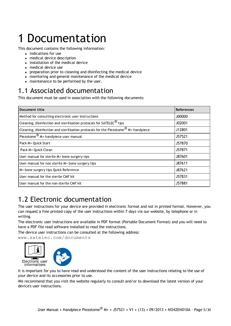## <span id="page-6-0"></span>1 Documentation

This document contains the following information:

- $\bullet$  indications for use
- medical device description
- $\bullet$  installation of the medical device
- medical device use
- preparation prior to cleaning and disinfecting the medical device
- monitoring and general maintenance of the medical device
- <span id="page-6-1"></span>• maintenance to be performed by the user.

### 1.1 Associated documentation

This document must be used in association with the following documents:

<span id="page-6-6"></span><span id="page-6-4"></span><span id="page-6-3"></span>

| Document title                                                                                   | <b>References</b> |
|--------------------------------------------------------------------------------------------------|-------------------|
| Method for consulting electronic user instructions                                               | J00000            |
| Cleaning, disinfection and sterilisation protocols for SATELEC <sup>®</sup> tips                 | J02001            |
| Cleaning, disinfection and sterilisation protocols for the Piezotome $^{\circledR}$ M+ handpiece | J12801            |
| Piezotome <sup>®</sup> M+ handpiece user manual                                                  | J57521            |
| Pack M+ Quick Start                                                                              | J57870            |
| Pack M+ Quick Clean                                                                              | J57871            |
| User manual for sterile M+ bone surgery tips                                                     | J87601            |
| User manual for non sterile M+ bone surgery tips                                                 | J87611            |
| M+ bone surgery tips Quick Reference                                                             | J87621            |
| User manual for the sterile CMF kit                                                              | J57831            |
| User manual for the non-sterile CMF kit                                                          | J57881            |

### <span id="page-6-7"></span><span id="page-6-5"></span><span id="page-6-2"></span>1.2 Electronic documentation

The user instructions for your device are provided in electronic format and not in printed format. However, you can request a free printed copy of the user instructions within 7 days via our website, by telephone or in writing.

The electronic user instructions are available in PDF format (Portable Document Format) and you will need to have a PDF file read software installed to read the instructions.

The device user instructions can be consulted at the following address: www.satelec.com/documents

Electronic user informations

It is important for you to have read and understood the content of the user instructions relating to the use of your device and its accessories prior to use.

We recommend that you visit the website regularly to consult and/or to download the latest version of your device's user instructions.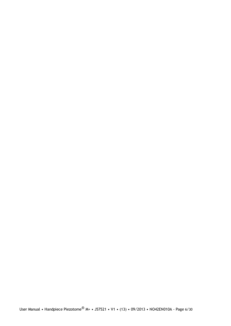User Manual • Handpiece Piezotome® M+ • J57521 • V1 • (13) • 09/2013 • NO42EN010A - Page <sup>6</sup>/<sup>30</sup>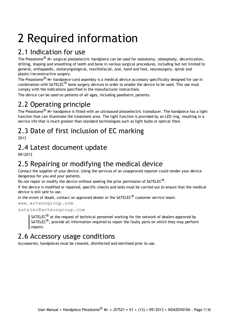# <span id="page-8-0"></span>2 Required information

## <span id="page-8-1"></span>2.1 Indication for use

<span id="page-8-8"></span>The Piezotome $^{\circledR}$  M+ surgical piezoelectric handpiece can be used for osteotomy, osteoplasty, decortication, drilling, shaping and smoothing of teeth and bone in various surgical procedures, including but not limited to general, orthopaedic, otolaryngological, maxillofacial, oral, hand and foot, neurosurgery, spinal and plastic/reconstructive surgery.

The Piezotome<sup>®</sup> M+ handpiece-cord assembly is a medical device accessory specifically designed for use in combination with SATELEC $^{\circledR}$  bone surgery devices in order to enable the device to be used. This use must comply with the indications specified in the manufacturer instructions.

<span id="page-8-2"></span>The device can be used on patients of all ages, including paediatric patients.

## 2.2 Operating principle

The Piezotome<sup>®</sup> M+ handpiece is fitted with an ultrasound piezoelectric transducer. The handpiece has a light function that can illuminate the treatment area. The light function is provided by an LED ring, resulting in a service life that is much greater than standard technologies such as light bulbs or optical fibre.

## <span id="page-8-3"></span>2.3 Date of first inclusion of EC marking

<span id="page-8-4"></span>2013

### 2.4 Latest document update

<span id="page-8-5"></span>09/2013

### 2.5 Repairing or modifying the medical device

Contact the supplier of your device. Using the services of an unapproved repairer could render your device dangerous for you and your patients.

Do not repair or modify the device without seeking the prior permission of SATELEC $^{\circledR}$ .

If the device is modified or repaired, specific checks and tests must be carried out to ensure that the medical device is still safe to use.

In the event of doubt, contact an approved dealer or the SATELEC $^{\circledR}$  customer service team:

www.acteongroup.com

satelec@acteongroup.com

<span id="page-8-7"></span><code>SATELEC $^{\circledR}$ </code> at the request of technical personnel working for the network of dealers approved by SATELEC<sup>®</sup>, provide all information required to repair the faulty parts on which they may perform repairs.

### <span id="page-8-6"></span>2.6 Accessory usage conditions

Accessories, handpieces must be cleaned, disinfected and sterilised prior to use.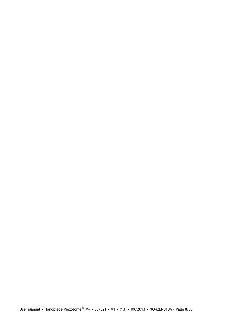User Manual • Handpiece Piezotome® M+ • J57521 • V1 • (13) • 09/2013 • NO42EN010A - Page <sup>8</sup>/<sup>30</sup>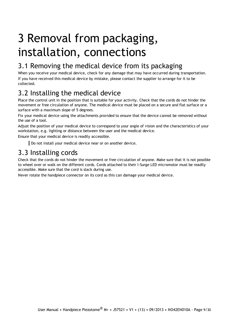# <span id="page-10-0"></span>3 Removal from packaging, installation, connections

### <span id="page-10-1"></span>3.1 Removing the medical device from its packaging

When you receive your medical device, check for any damage that may have occurred during transportation. If you have received this medical device by mistake, please contact the supplier to arrange for it to be collected.

### <span id="page-10-2"></span>3.2 Installing the medical device

Place the control unit in the position that is suitable for your activity. Check that the cords do not hinder the movement or free circulation of anyone. The medical device must be placed on a secure and flat surface or a surface with a maximum slope of 5 degrees.

<span id="page-10-4"></span>Fix your medical device using the attachments provided to ensure that the device cannot be removed without the use of a tool.

Adjust the position of your medical device to correspond to your angle of vision and the characteristics of your workstation, e.g. lighting or distance between the user and the medical device.

<span id="page-10-3"></span>Ensure that your medical device is readily accessible.

Do not install your medical device near or on another device.

### 3.3 Installing cords

Check that the cords do not hinder the movement or free circulation of anyone. Make sure that it is not possible to wheel over or walk on the different cords. Cords attached to their I-Surge LED micromotor must be readily accessible. Make sure that the cord is slack during use.

Never rotate the handpiece connector on its cord as this can damage your medical device.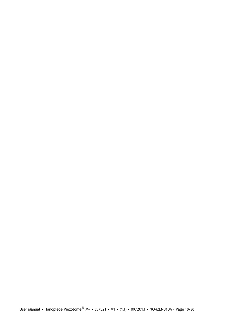User Manual • Handpiece Piezotome® M+ • J57521 • V1 • (13) • 09/2013 • NO42EN010A - Page <sup>10</sup>/<sup>30</sup>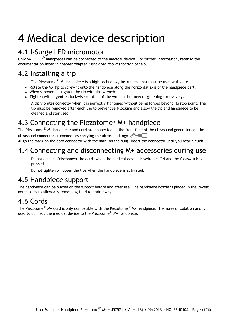# <span id="page-12-1"></span><span id="page-12-0"></span>4 Medical device description

### 4.1 I-Surge LED micromotor

<span id="page-12-2"></span>Only SATELEC<sup>®</sup> handpieces can be connected to the medical device. For further information, refer to the documentation listed in chapter chapter *Associated [documentation](#page-6-1)* page *5*.

## 4.2 Installing a tip

The Piezotome<sup>®</sup> M+ handpiece is a high-technology instrument that must be used with care.

- Rotate the M+ tip to screw it onto the handpiece along the horizontal axis of the handpiece part.
- When screwed in, tighten the tip with the wrench.
- Tighten with a gentle clockwise rotation of the wrench, but never tightening excessively.

A tip vibrates correctly when it is perfectly tightened without being forced beyond its stop point. The tip must be removed after each use to prevent self-locking and allow the tip and handpiece to be cleaned and sterilised.

### <span id="page-12-3"></span>4.3 Connecting the Piezotome® M+ handpiece

The Piezotome® M+ handpiece and cord are connected on the front face of the ultrasound generator, on the ultrasound connector or connectors carrying the ultrasound logo

<span id="page-12-4"></span>Align the mark on the cord connector with the mark on the plug. Insert the connector until you hear a click.

### 4.4 Connecting and disconnecting M+ accessories during use

Do not connect/disconnect the cords when the medical device is switched ON and the footswitch is pressed.

Do not tighten or loosen the tips when the handpiece is activated.

### <span id="page-12-5"></span>4.5 Handpiece support

<span id="page-12-6"></span>The handpiece can be placed on the support before and after use. The handpiece nozzle is placed in the lowest notch so as to allow any remaining fluid to drain away.

### 4.6 Cords

The Piezotome<sup>®</sup> M+ cord is only compatible with the Piezotome<sup>®</sup> M+ handpiece. It ensures circulation and is used to connect the medical device to the Piezotome® M+ handpiece.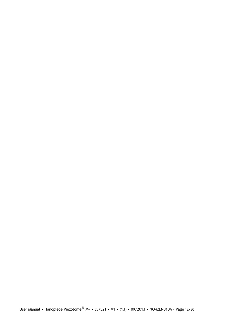User Manual • Handpiece Piezotome® M+ • J57521 • V1 • (13) • 09/2013 • NO42EN010A - Page <sup>12</sup>/<sup>30</sup>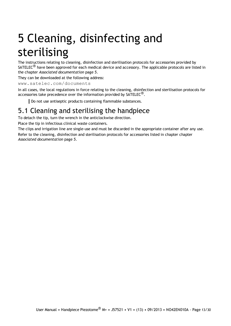# <span id="page-14-0"></span>5 Cleaning, disinfecting and sterilising

The instructions relating to cleaning, disinfection and sterilisation protocols for accessories provided by  $SATELEC<sup>®</sup>$  have been approved for each medical device and accessory. The applicable protocols are listed in the chapter *Associated [documentation](#page-6-1)* page *5*.

They can be downloaded at the following address:

www.satelec.com/documents

In all cases, the local regulations in force relating to the cleaning, disinfection and sterilisation protocols for accessories take precedence over the information provided by  $SATE LEC^{\circledR}$ .

Do not use antiseptic products containing flammable substances.

### <span id="page-14-1"></span>5.1 Cleaning and sterilising the handpiece

To detach the tip, turn the wrench in the anticlockwise direction.

Place the tip in infectious clinical waste containers.

The clips and irrigation line are single-use and must be discarded in the appropriate container after any use. Refer to the cleaning, disinfection and sterilisation protocols for accessories listed in chapter chapter *Associated [documentation](#page-6-1)* page *5*.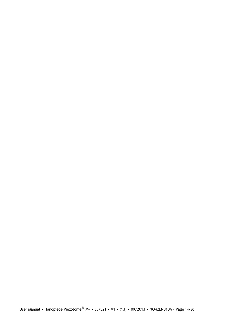User Manual • Handpiece Piezotome® M+ • J57521 • V1 • (13) • 09/2013 • NO42EN010A - Page <sup>14</sup>/<sup>30</sup>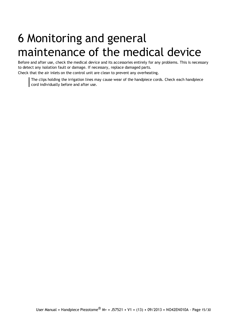## <span id="page-16-0"></span>6 Monitoring and general maintenance of the medical device

<span id="page-16-1"></span>Before and after use, check the medical device and its accessories entirely for any problems. This is necessary to detect any isolation fault or damage. If necessary, replace damaged parts.

Check that the air inlets on the control unit are clean to prevent any overheating.

The clips holding the irrigation lines may cause wear of the handpiece cords. Check each handpiece cord individually before and after use.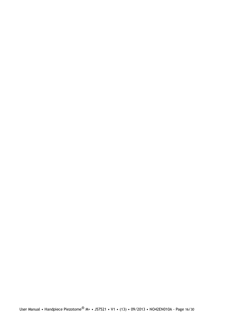User Manual • Handpiece Piezotome® M+ • J57521 • V1 • (13) • 09/2013 • NO42EN010A - Page <sup>16</sup>/<sup>30</sup>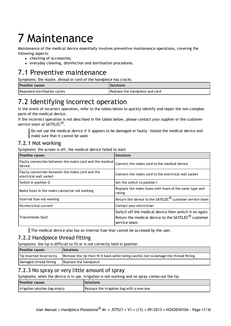# <span id="page-18-0"></span>7 Maintenance

Maintenance of the medical device essentially involves preventive maintenance operations, covering the following aspects:

- checking of accessories;
- <span id="page-18-1"></span>• everyday cleaning, disinfection and sterilisation procedures.

### 7.1 Preventive maintenance

Symptoms: the nozzle, shroud or cord of the handpiece has cracks

<span id="page-18-2"></span>

| <b>Possible causes</b>        | <b>Solutions</b>               |
|-------------------------------|--------------------------------|
| Repeated sterilisation cycles | Replace the handpiece and cord |

### <span id="page-18-6"></span>7.2 Identifying incorrect operation

In the event of incorrect operation, refer to the tables below to quickly identify and repair the non-complex parts of the medical device.

If the incorrect operation is not described in the tables below, please contact your supplier or the customer service team at SATELEC<sup>®</sup>.

Do not use the medical device if it appears to be damaged or faulty. Isolate the medical device and make sure that it cannot be used.

#### <span id="page-18-3"></span>7.2.1 Not working

Symptoms: the screen is off, the medical device failed to start

<span id="page-18-8"></span><span id="page-18-7"></span>

| Possible causes                                                            | <b>Solutions</b>                                                                                        |
|----------------------------------------------------------------------------|---------------------------------------------------------------------------------------------------------|
| Faulty connection between the mains cord and the medical<br>device         | Connect the mains cord to the medical device                                                            |
| Faulty connection between the mains cord and the<br>electrical wall socket | Connect the mains cord to the electrical wall socket                                                    |
| Switch in position O                                                       | Set the switch to position I                                                                            |
| Mains fuses in the mains connector not working                             | Replace the mains fuses with fuses of the same type and<br>rating                                       |
| Internal fuse not working                                                  | Return the device to the <code>SATELEC<math>^\text{\textregistered}</math></code> customer service team |
| No electrical current                                                      | Contact your electrician                                                                                |
|                                                                            | Switch off the medical device then switch it on again                                                   |
| Transmission fault                                                         | Return the medical device to the SATELEC <sup>®</sup> customer<br>service team                          |

The medical device also has an internal fuse that cannot be accessed by the user.

#### <span id="page-18-4"></span>7.2.2 Handpiece thread fitting

Symptoms: the tip is difficult to fit or is not correctly held in position

| <b>Possible causes</b>   | <b>Solutions</b>                                                                     |
|--------------------------|--------------------------------------------------------------------------------------|
| Tip inserted incorrectly | Remove the tip then fit it back while being careful not to damage the thread fitting |
| Damaged thread fitting   | Replace the handpiece                                                                |

#### <span id="page-18-5"></span>7.2.3 No spray or very little amount of spray

Symptoms: when the device is in use, irrigation is not working and no spray comes out the tip

| <b>Possible causes</b>        | <b>Solutions</b>                          |
|-------------------------------|-------------------------------------------|
| Irrigation solution bag empty | Replace the irrigation bag with a new one |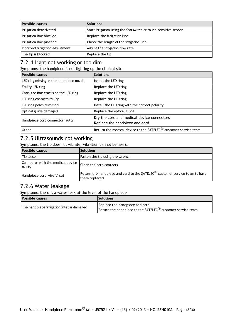| Possible causes                 | <b>Solutions</b>                                                |
|---------------------------------|-----------------------------------------------------------------|
| Irrigation deactivated          | Start irrigation using the footswitch or touch-sensitive screen |
| Irrigation line blocked         | Replace the irrigation line                                     |
| Irrigation line pinched         | Check the length of the irrigation line                         |
| Incorrect irrigation adjustment | Adjust the irrigation flow rate                                 |
| The tip is blocked              | Replace the tip                                                 |

#### <span id="page-19-0"></span>7.2.4 Light not working or too dim

Symptoms: the handpiece is not lighting up the clinical site

| Possible causes                          | <b>Solutions</b>                                                              |
|------------------------------------------|-------------------------------------------------------------------------------|
| LED ring missing in the handpiece nozzle | Install the LED ring                                                          |
| Faulty LED ring                          | Replace the LED ring                                                          |
| Cracks or fine cracks on the LED ring    | Replace the LED ring                                                          |
| LED ring contacts faulty                 | Replace the LED ring                                                          |
| LED ring poles reversed                  | Install the LED ring with the correct polarity                                |
| Optical guide damaged                    | Replace the optical guide                                                     |
|                                          | Dry the cord and medical device connectors                                    |
| Handpiece cord connector faulty          | Replace the handpiece and cord                                                |
| Other                                    | Return the medical device to the SATELEC $^{\circledR}$ customer service team |

#### <span id="page-19-1"></span>7.2.5 Ultrasounds not working

Symptoms: the tip does not vibrate, vibration cannot be heard.

<span id="page-19-3"></span>

| <b>Possible causes</b>                      | <b>Solutions</b>                                                                                           |
|---------------------------------------------|------------------------------------------------------------------------------------------------------------|
| Tip loose                                   | Fasten the tip using the wrench                                                                            |
| Connector with the medical device<br>faulty | Clean the cord contacts                                                                                    |
| Handpiece cord wire(s) cut                  | Return the handpiece and cord to the SATELEC $^{\circledR}$ customer service team to have<br>them replaced |

#### <span id="page-19-2"></span>7.2.6 Water leakage

Symptoms: there is a water leak at the level of the handpiece

| <b>Possible causes</b><br><b>Solutions</b> |                                                                                                            |
|--------------------------------------------|------------------------------------------------------------------------------------------------------------|
| The handpiece irrigation inlet is damaged  | Replace the handpiece and cord<br>Return the handpiece to the SATELEC $^{\circledR}$ customer service team |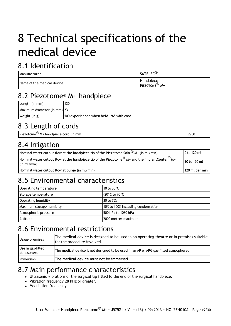## <span id="page-20-0"></span>8 Technical specifications of the medical device

### <span id="page-20-1"></span>8.1 Identification

<span id="page-20-11"></span>

| l Manufacturer             | $\sf SATELEC^{\circledR}$              |
|----------------------------|----------------------------------------|
| Name of the medical device | Handpiece<br>PIEZOTOME <sup>®</sup> M+ |

### <span id="page-20-2"></span>8.2 Piezotome® M+ handpiece

| Length (in mm)              | 130                                      |
|-----------------------------|------------------------------------------|
| Maximum diameter (in mm) 23 |                                          |
| Weight (in g)               | 100 experienced when held, 265 with cord |

### <span id="page-20-3"></span>8.3 Length of cords

<span id="page-20-4"></span>Piezotome<sup>®</sup> M+ handpiece cord (in mm) 2900

8.4 Irrigation

| Nominal water output flow at the handpiece tip of the Piezotome Solo $^{\circledR}$ M+ (in ml/min)                                               | 10 to 120 ml   |
|--------------------------------------------------------------------------------------------------------------------------------------------------|----------------|
| Nominal water output flow at the handpiece tip of the Piezotome $^{\circledR}$ M+ and the ImplantCenter $^{\circledR}$ M+<br>$\ln \text{ml/min}$ | 10 to 120 ml   |
| Nominal water output flow at purge (in ml/min)                                                                                                   | 120 ml per min |

### <span id="page-20-5"></span>8.5 Environmental characteristics

<span id="page-20-10"></span>

| Operating temperature     | l 10 to 30°C                              |
|---------------------------|-------------------------------------------|
| Storage temperature       | $\,$ -20 $^\circ$ C to 70 $^\circ$ C $\,$ |
| <b>Operating humidity</b> | l 30 to 75%                               |
| Maximum storage humidity  | 10% to 100% including condensation        |
| Atmospheric pressure      | l 500 hPa to 1060 hPa                     |
| Altitude                  | 2000 metres maximum                       |

## <span id="page-20-9"></span><span id="page-20-6"></span>8.6 Environmental restrictions

<span id="page-20-8"></span>

| Usage premises                  | The medical device is designed to be used in an operating theatre or in premises suitable<br>for the procedure involved. |
|---------------------------------|--------------------------------------------------------------------------------------------------------------------------|
| Use in gas-filled<br>atmosphere | The medical device is not designed to be used in an AP or APG gas-filled atmosphere.                                     |
| <b>Immersion</b>                | The medical device must not be immersed.                                                                                 |

### <span id="page-20-7"></span>8.7 Main performance characteristics

- Ultrasonic vibrations of the surgical tip fitted to the end of the surgical handpiece.
- Vibration frequency 28 kHz or greater.
- Modulation frequency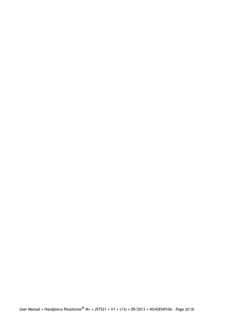User Manual • Handpiece Piezotome® M+ • J57521 • V1 • (13) • 09/2013 • NO42EN010A - Page <sup>20</sup>/<sup>30</sup>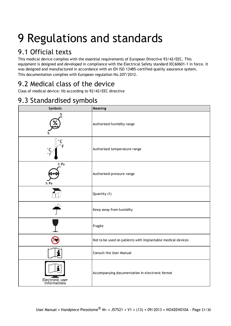# <span id="page-22-0"></span>9 Regulations and standards

## <span id="page-22-4"></span><span id="page-22-1"></span>9.1 Official texts

This medical device complies with the essential requirements of European Directive 93/42/EEC. This equipment is designed and developed in compliance with the Electrical Safety standard IEC60601-1 in force. It was designed and manufactured in accordance with an EN ISO 13485-certified quality assurance system. This documentation complies with European regulation No.207/2012.

## <span id="page-22-2"></span>9.2 Medical class of the device

<span id="page-22-3"></span>Class of medical device: IIb according to 92/42/EEC directive

## 9.3 Standardised symbols

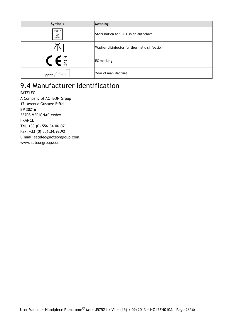| Symbols                            | Meaning                                     |
|------------------------------------|---------------------------------------------|
| 132°C<br>$\widetilde{\mathcal{W}}$ | Sterilisation at 132°C in an autoclave      |
|                                    | Washer disinfector for thermal disinfection |
| $C \in \mathbb{S}$                 | EC marking                                  |
| vyvv /                             | Year of manufacture                         |

## <span id="page-23-0"></span>9.4 Manufacturer identification

SATELEC A Company of ACTEON Group 17, avenue Gustave Eiffel BP 30216 33708 MERIGNAC cedex FRANCE Tel. +33 (0) 556.34.06.07 Fax. +33 (0) 556.34.92.92 E.mail: satelec@acteongroup.com. www.acteongroup.com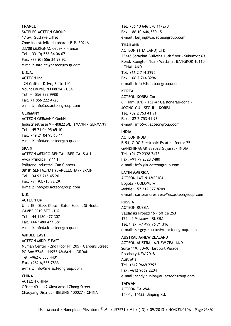#### <span id="page-24-0"></span>**FRANCE**

SATELEC ACTEON GROUP 17 av. Gustave Eiffel Zone industrielle du phare - B.P. 30216 33708 MERIGNAC cedex - France Tel. +33 (0) 556 34 06 07 Fax. +33 (0) 556 34 92 92 e-mail: satelec@acteongroup.com.

#### **U.S.A.**

ACTEON Inc. 124 Gaither Drive, Suite 140 Mount Laurel, NJ 08054 - USA Tel. +1 856 222 9988 Fax. +1 856 222 4726 e-mail: info@us.acteongroup.com

#### **GERMANY**

ACTEON GERMANY GmbH Industriestrasse 9 – 40822 METTMANN - GERMANY Tel. +49 21 04 95 65 10 Fax. +49 21 04 95 65 11 e-mail: info@de.acteongroup.com

#### **SPAIN**

ACTEON MEDICO-DENTAL IBERICA, S.A.U. Avda Principal n°11 H Poligono Industrial Can Clapers 08181 SENTMENAT (BARCELONA) - SPAIN Tel. +34 93 715 45 20 Fax. +34 93,715 32 29 e-mail: info@es.acteongroup.com

#### **U.K.**

ACTEON UK Unit 1B - Steel Close – Eaton Socon, St Neots CAMBS PE19 8TT - UK Tel. +44 1480 477 307 Fax. +44 1480 477,381 e-mail: info@uk.acteongroup.com

#### **MIDDLE EAST**

ACTEON MIDDLE EAST Numan Center - 2nd Floor N° 205 - Gardens Street PO Box 5746 - 11953 AMMAN - JORDAN Tel. +962 6 553 4401 Fax. +962 6,553 7833 e-mail: info@me.acteongroup.com

#### **CHINA**

ACTEON CHINA Office 401 - 12 Xinyuanxili Zhong Street - Chaoyang District - BEIJING 100027 - CHINA Tel. +86 10 646 570 11/2/3 Fax. +86 10,646,580 15 e-mail: beijing@cn.acteongroup.com

#### **THAILAND**

ACTEON (THAILAND) LTD 23/45 Sorachai Building 16th floor - Sukumvit 63 Road, Klongton Nua - Wattana, BANGKOK 10110 - THAILAND Tel. +66 2 714 3295 Fax. +66 2 714 3296 e-mail: info@th.acteongroup.com

#### **KOREA**

ACTEON KOREA Corp. 8F Hanil B/D - 132-4 1Ga Bongrae-dong - JOONG-GU – SEOUL - KOREA Tel. +82 2 753 41 91 Fax. +82 2,753 41 93 e-mail: info@kr.acteongroup.com

#### **INDIA**

ACTEON INDIA B-94, GIDC Electronic Estate - Sector 25 – GANDHINAGAR 382028 Gujarat - INDIA Tel. +91 79 2328 7473 Fax. +91 79 2328 7480 e-mail: info@in.acteongroup.com

#### **LATIN AMERICA**

ACTEON LATIN AMERICA Bogotà - COLOMBIA Mobile: +57 312 377 8209 e-mail: carlosandres.vera@es.acteongroup.com

#### **RUSSIA**

ACTEON RUSSIA Valdajski Proezd 16 – office 253 125445 Moscow - RUSSIA Tel./Fax. +7 499 76 71 316 e-mail: sergey.koblov@ru.acteongroup.com

#### **AUSTRALIA/NEW ZEALAND**

ACTEON AUSTRALIA/NEW ZEALAND Suite 119, 30-40 Harcourt Parade Rosebery NSW 2018 Australia Tel. +612 9669 2292 Fax. +612 9662 2204 e-mail: sandy.junior@au.acteongroup.com

#### **TAIWAN**

ACTEON TAIWAN 14F-1, N°433, Jinping Rd.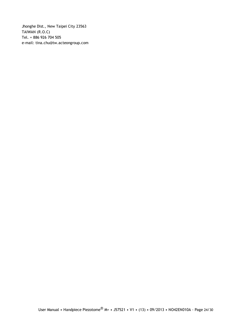Jhonghe Dist., New Taipei City 23563 TAIWAN (R.O.C) Tel. + 886 926 704 505 e-mail: tina.chu@tw.acteongroup.com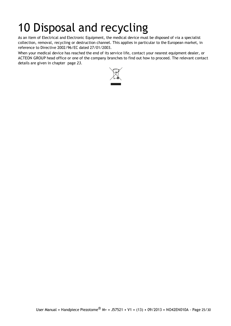# <span id="page-26-0"></span>10 Disposal and recycling

<span id="page-26-1"></span>As an item of Electrical and Electronic Equipment, the medical device must be disposed of via a specialist collection, removal, recycling or destruction channel. This applies in particular to the European market, in reference to Directive 2002/96/EC dated 27/01/2003.

When your medical device has reached the end of its service life, contact your nearest equipment dealer, or ACTEON GROUP head office or one of the company branches to find out how to proceed. The relevant contact details are given in [chapter](#page-24-0) page *23*.

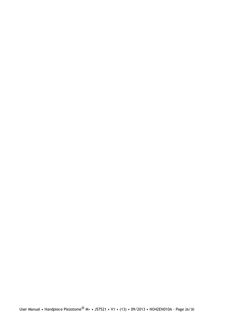User Manual • Handpiece Piezotome® M+ • J57521 • V1 • (13) • 09/2013 • NO42EN010A - Page <sup>26</sup>/<sup>30</sup>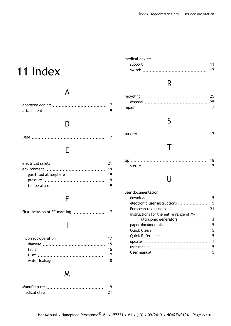## <span id="page-28-0"></span>11 Index

## A approved dealers [7](#page-8-7) attachment [9](#page-10-4) D

### E

#### F

| first inclusion of EC marking |  |
|-------------------------------|--|
|-------------------------------|--|

#### I

#### M

| medical device |  |
|----------------|--|
|                |  |

## R

#### S

| SI Ir |  |  |  |
|-------|--|--|--|
|       |  |  |  |

#### T

| dteril ہ |  |
|----------|--|

### U

| user documentation                      |    |
|-----------------------------------------|----|
|                                         | 5  |
| electronic user instructions            | 5  |
| European regulations                    | 71 |
| instructions for the entire range of M+ |    |
| ultrasonic generators                   | ٦  |
| paper documentation                     | 5  |
|                                         | 5  |
|                                         | 5  |
|                                         | 7  |
|                                         | 5  |
|                                         | 5  |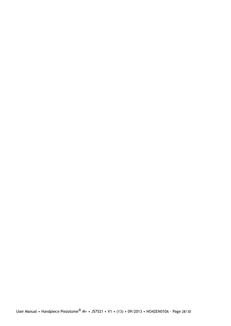User Manual • Handpiece Piezotome® M+ • J57521 • V1 • (13) • 09/2013 • NO42EN010A - Page <sup>28</sup>/<sup>30</sup>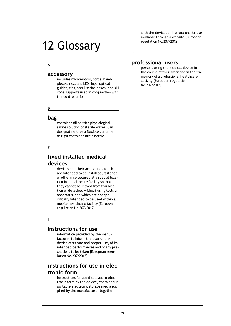## <span id="page-30-0"></span>12 Glossary

with the device, or instructions for use available through a website [European regulation No.207/2012]

#### **P**

#### **accessory**

includes micromotors, cords, handpieces, nozzles, LED rings, optical guides, tips, sterilisation boxes, and silicone supports used in conjunction with the control units

#### **professional users**

persons using the medical device in the course of their work and in the framework of a professional healthcare activity [European regulation No.207/2012]

#### **B**

**A**

**bag** container filled with physiological saline solution or sterile water. Can designate either a flexible container or rigid container like a bottle.

**F**

#### **fixed installed medical devices**

devices and their accessories which are intended to be installed, fastened or otherwise secured at a special location in a healthcare facility so that they cannot be moved from this location or detached without using tools or apparatus, and which are not specifically intended to be used within a mobile healthcare facility [European regulation No.207/2012]

**I**

#### **Instructions for use**

information provided by the manufacturer to inform the user of the device of its safe and proper use, of its intended performances and of any precautions to be taken [European regulation No.207/2012]

#### **instructions for use in electronic form**

instructions for use displayed in electronic form by the device, contained in portable electronic storage media supplied by the manufacturer together